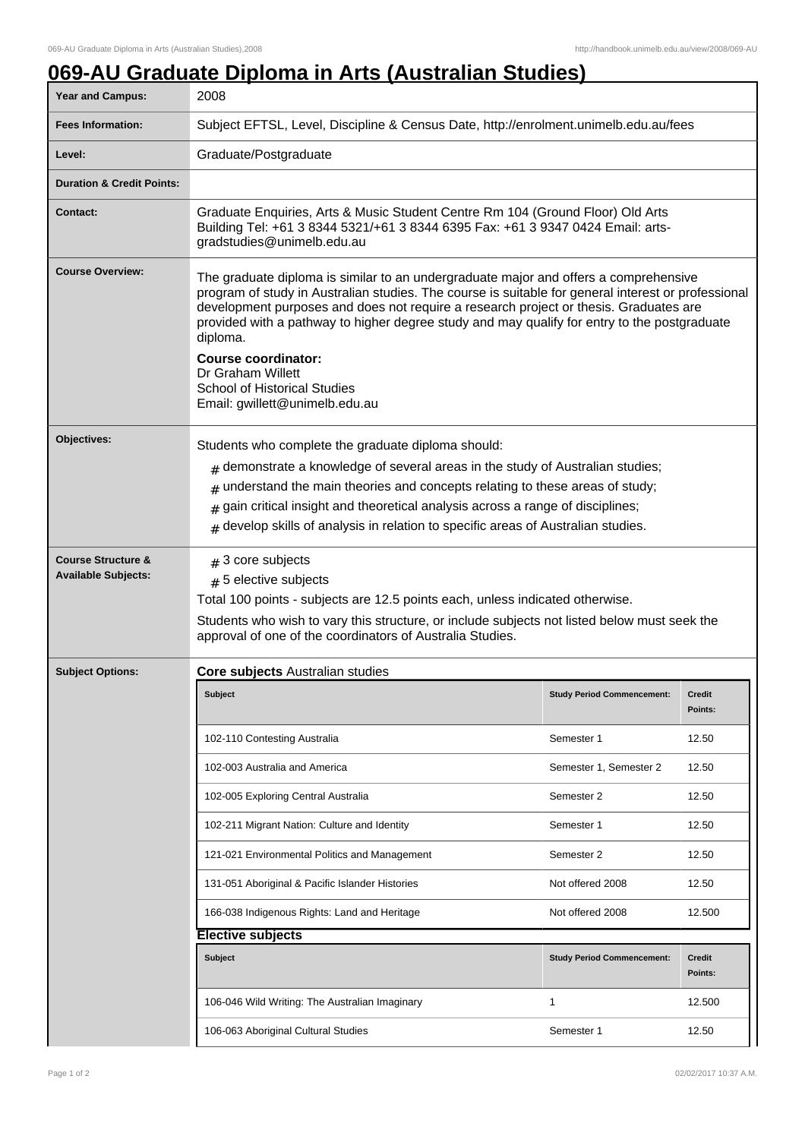## **069-AU Graduate Diploma in Arts (Australian Studies)**

| Year and Campus:                                            | 2008                                                                                                                                                                                                                                                                                                                                                                                                                                                                                                                  |                                   |                          |  |
|-------------------------------------------------------------|-----------------------------------------------------------------------------------------------------------------------------------------------------------------------------------------------------------------------------------------------------------------------------------------------------------------------------------------------------------------------------------------------------------------------------------------------------------------------------------------------------------------------|-----------------------------------|--------------------------|--|
| <b>Fees Information:</b>                                    | Subject EFTSL, Level, Discipline & Census Date, http://enrolment.unimelb.edu.au/fees                                                                                                                                                                                                                                                                                                                                                                                                                                  |                                   |                          |  |
| Level:                                                      | Graduate/Postgraduate                                                                                                                                                                                                                                                                                                                                                                                                                                                                                                 |                                   |                          |  |
| <b>Duration &amp; Credit Points:</b>                        |                                                                                                                                                                                                                                                                                                                                                                                                                                                                                                                       |                                   |                          |  |
| <b>Contact:</b>                                             | Graduate Enquiries, Arts & Music Student Centre Rm 104 (Ground Floor) Old Arts<br>Building Tel: +61 3 8344 5321/+61 3 8344 6395 Fax: +61 3 9347 0424 Email: arts-<br>gradstudies@unimelb.edu.au                                                                                                                                                                                                                                                                                                                       |                                   |                          |  |
| <b>Course Overview:</b>                                     | The graduate diploma is similar to an undergraduate major and offers a comprehensive<br>program of study in Australian studies. The course is suitable for general interest or professional<br>development purposes and does not require a research project or thesis. Graduates are<br>provided with a pathway to higher degree study and may qualify for entry to the postgraduate<br>diploma.<br><b>Course coordinator:</b><br>Dr Graham Willett<br>School of Historical Studies<br>Email: gwillett@unimelb.edu.au |                                   |                          |  |
| Objectives:                                                 | Students who complete the graduate diploma should:<br>$_{\text{\#}}$ demonstrate a knowledge of several areas in the study of Australian studies;<br>understand the main theories and concepts relating to these areas of study;<br>#<br>gain critical insight and theoretical analysis across a range of disciplines;<br>#<br>develop skills of analysis in relation to specific areas of Australian studies.<br>#                                                                                                   |                                   |                          |  |
| <b>Course Structure &amp;</b><br><b>Available Subjects:</b> | $#$ 3 core subjects<br>$# 5$ elective subjects<br>Total 100 points - subjects are 12.5 points each, unless indicated otherwise.<br>Students who wish to vary this structure, or include subjects not listed below must seek the<br>approval of one of the coordinators of Australia Studies.                                                                                                                                                                                                                          |                                   |                          |  |
| <b>Subject Options:</b>                                     | <b>Core subjects Australian studies</b>                                                                                                                                                                                                                                                                                                                                                                                                                                                                               |                                   |                          |  |
|                                                             | Subject                                                                                                                                                                                                                                                                                                                                                                                                                                                                                                               | <b>Study Period Commencement:</b> | <b>Credit</b><br>Points: |  |
|                                                             | 102-110 Contesting Australia                                                                                                                                                                                                                                                                                                                                                                                                                                                                                          | Semester 1                        | 12.50                    |  |
|                                                             | 102-003 Australia and America                                                                                                                                                                                                                                                                                                                                                                                                                                                                                         | Semester 1, Semester 2            | 12.50                    |  |
|                                                             | 102-005 Exploring Central Australia                                                                                                                                                                                                                                                                                                                                                                                                                                                                                   | Semester 2                        | 12.50                    |  |
|                                                             | 102-211 Migrant Nation: Culture and Identity                                                                                                                                                                                                                                                                                                                                                                                                                                                                          | Semester 1                        | 12.50                    |  |
|                                                             | 121-021 Environmental Politics and Management                                                                                                                                                                                                                                                                                                                                                                                                                                                                         | Semester 2                        | 12.50                    |  |
|                                                             | 131-051 Aboriginal & Pacific Islander Histories                                                                                                                                                                                                                                                                                                                                                                                                                                                                       | Not offered 2008                  | 12.50                    |  |
|                                                             | 166-038 Indigenous Rights: Land and Heritage                                                                                                                                                                                                                                                                                                                                                                                                                                                                          | Not offered 2008                  | 12.500                   |  |
|                                                             | <b>Elective subjects</b>                                                                                                                                                                                                                                                                                                                                                                                                                                                                                              |                                   |                          |  |
|                                                             | <b>Subject</b>                                                                                                                                                                                                                                                                                                                                                                                                                                                                                                        | <b>Study Period Commencement:</b> | Credit<br>Points:        |  |
|                                                             | 106-046 Wild Writing: The Australian Imaginary                                                                                                                                                                                                                                                                                                                                                                                                                                                                        | 1                                 | 12.500                   |  |
|                                                             | 106-063 Aboriginal Cultural Studies                                                                                                                                                                                                                                                                                                                                                                                                                                                                                   | Semester 1                        | 12.50                    |  |